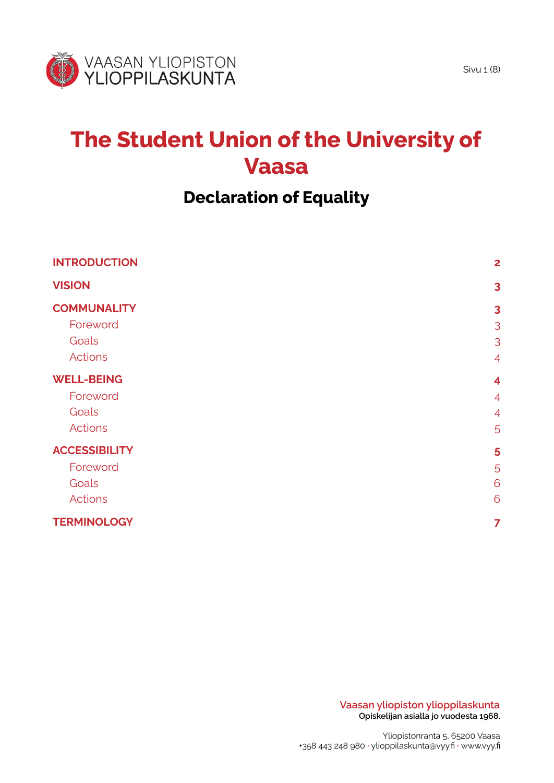

# **The Student Union of the University of Vaasa**

# **Declaration of Equality**

| <b>INTRODUCTION</b>  | $\mathbf{2}$            |
|----------------------|-------------------------|
| <b>VISION</b>        | $\overline{\mathbf{3}}$ |
| <b>COMMUNALITY</b>   | $\overline{\mathbf{3}}$ |
| Foreword             | 3                       |
| Goals                | 3                       |
| <b>Actions</b>       | $\overline{4}$          |
| <b>WELL-BEING</b>    | $\overline{\mathbf{4}}$ |
| Foreword             | $\overline{4}$          |
| Goals                | $\overline{4}$          |
| <b>Actions</b>       | 5                       |
| <b>ACCESSIBILITY</b> | 5                       |
| Foreword             | 5                       |
| Goals                | 6                       |
| Actions              | 6                       |
| <b>TERMINOLOGY</b>   | 7                       |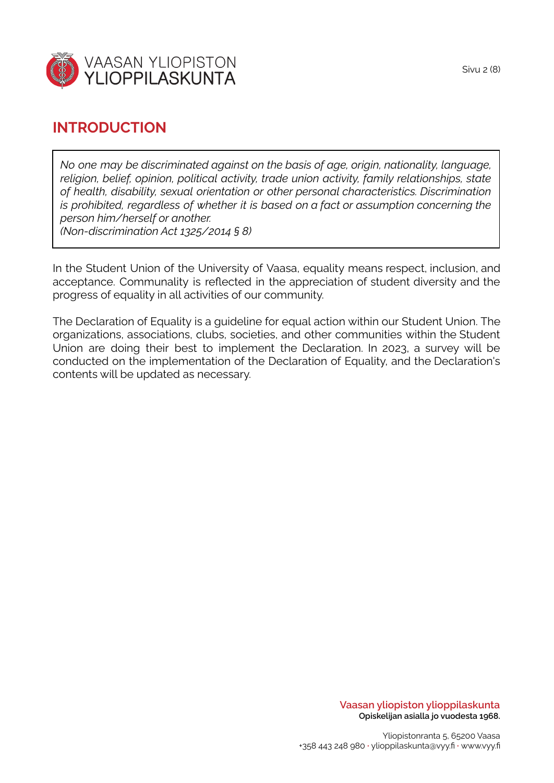

## <span id="page-1-0"></span>**INTRODUCTION**

*No one may be discriminated against on the basis of age, origin, nationality, language, religion, belief, opinion, political activity, trade union activity, family relationships, state of health, disability, sexual orientation or other personal characteristics. Discrimination is prohibited, regardless of whether it is based on a fact or assumption concerning the person him/herself or another. (Non-discrimination Act 1325/2014 § 8)*

In the Student Union of the University of Vaasa, equality means respect, inclusion, and acceptance. Communality is reflected in the appreciation of student diversity and the progress of equality in all activities of our community.

The Declaration of Equality is a guideline for equal action within our Student Union. The organizations, associations, clubs, societies, and other communities within the Student Union are doing their best to implement the Declaration. In 2023, a survey will be conducted on the implementation of the Declaration of Equality, and the Declaration's contents will be updated as necessary.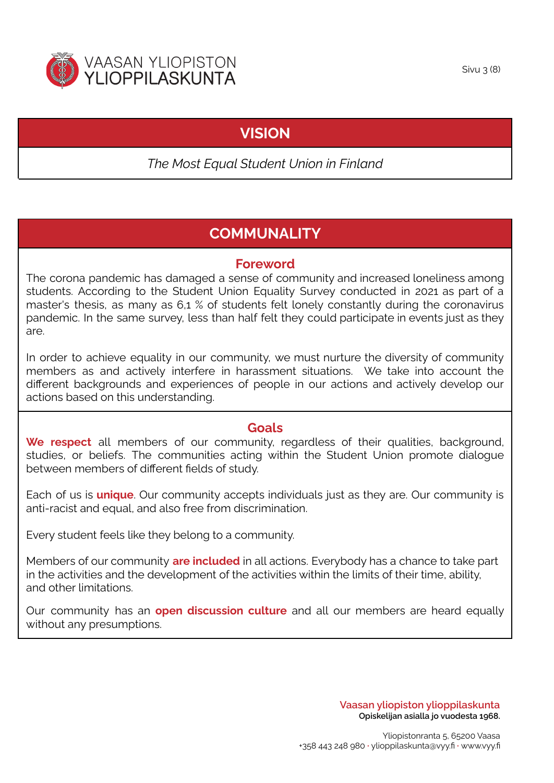<span id="page-2-0"></span>

## **VISION**

*The Most Equal Student Union in Finland*

# **COMMUNALITY**

#### **Foreword**

<span id="page-2-2"></span><span id="page-2-1"></span>The corona pandemic has damaged a sense of community and increased loneliness among students. According to the Student Union Equality Survey conducted in 2021 as part of a master's thesis, as many as 6,1 % of students felt lonely constantly during the coronavirus pandemic. In the same survey, less than half felt they could participate in events just as they are.

In order to achieve equality in our community, we must nurture the diversity of community members as and actively interfere in harassment situations. We take into account the different backgrounds and experiences of people in our actions and actively develop our actions based on this understanding.

#### **Goals**

<span id="page-2-3"></span>We respect all members of our community, regardless of their qualities, background, studies, or beliefs. The communities acting within the Student Union promote dialogue between members of different fields of study.

Each of us is **unique**. Our community accepts individuals just as they are. Our community is anti-racist and equal, and also free from discrimination.

Every student feels like they belong to a community.

Members of our community **are included** in all actions. Everybody has a chance to take part in the activities and the development of the activities within the limits of their time, ability, and other limitations.

Our community has an **open discussion culture** and all our members are heard equally without any presumptions.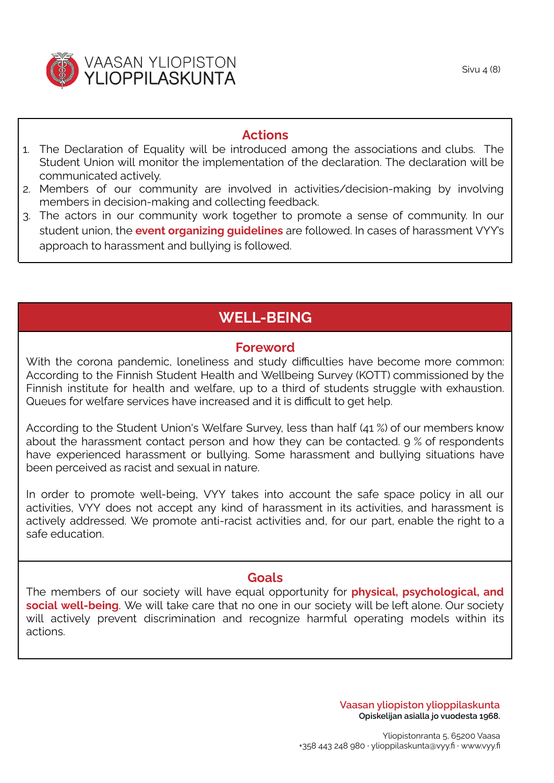Sivu  $\angle$  (8)

#### **Actions**

- <span id="page-3-0"></span>1. The Declaration of Equality will be introduced among the associations and clubs. The Student Union will monitor the implementation of the declaration. The declaration will be communicated actively.
- 2. Members of our community are involved in activities/decision-making by involving members in decision-making and collecting feedback.
- 3. The actors in our community work together to promote a sense of community. In our student union, the **event organizing guidelines** are followed. In cases of harassment VYY's approach to harassment and bullying is followed.

# **WELL-BEING**

#### **Foreword**

<span id="page-3-2"></span><span id="page-3-1"></span>With the corona pandemic, loneliness and study difficulties have become more common: According to the Finnish Student Health and Wellbeing Survey (KOTT) commissioned by the Finnish institute for health and welfare, up to a third of students struggle with exhaustion. Queues for welfare services have increased and it is difficult to get help.

According to the Student Union's Welfare Survey, less than half (41 %) of our members know about the harassment contact person and how they can be contacted. 9 % of respondents have experienced harassment or bullying. Some harassment and bullying situations have been perceived as racist and sexual in nature.

In order to promote well-being, VYY takes into account the safe space policy in all our activities, VYY does not accept any kind of harassment in its activities, and harassment is actively addressed. We promote anti-racist activities and, for our part, enable the right to a safe education.

#### **Goals**

<span id="page-3-3"></span>The members of our society will have equal opportunity for **physical, psychological, and social well-being**. We will take care that no one in our society will be left alone. Our society will actively prevent discrimination and recognize harmful operating models within its actions.

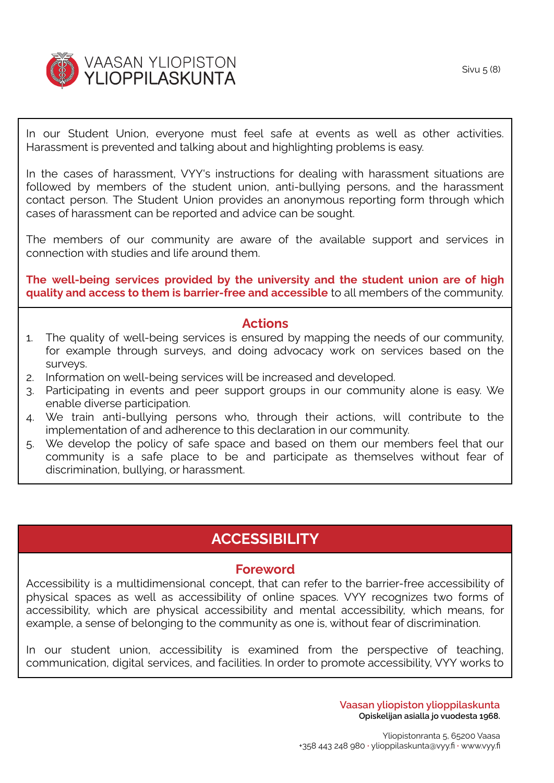

In our Student Union, everyone must feel safe at events as well as other activities. Harassment is prevented and talking about and highlighting problems is easy.

In the cases of harassment, VYY's instructions for dealing with harassment situations are followed by members of the student union, anti-bullying persons, and the harassment contact person. The Student Union provides an anonymous reporting form through which cases of harassment can be reported and advice can be sought.

The members of our community are aware of the available support and services in connection with studies and life around them.

**The well-being services provided by the university and the student union are of high quality and access to them is barrier-free and accessible** to all members of the community.

#### **Actions**

- <span id="page-4-0"></span>1. The quality of well-being services is ensured by mapping the needs of our community, for example through surveys, and doing advocacy work on services based on the surveys.
- 2. Information on well-being services will be increased and developed.
- 3. Participating in events and peer support groups in our community alone is easy. We enable diverse participation.
- 4. We train anti-bullying persons who, through their actions, will contribute to the implementation of and adherence to this declaration in our community.
- 5. We develop the policy of safe space and based on them our members feel that our community is a safe place to be and participate as themselves without fear of discrimination, bullying, or harassment.

## **ACCESSIBILITY**

#### **Foreword**

<span id="page-4-2"></span><span id="page-4-1"></span>Accessibility is a multidimensional concept, that can refer to the barrier-free accessibility of physical spaces as well as accessibility of online spaces. VYY recognizes two forms of accessibility, which are physical accessibility and mental accessibility, which means, for example, a sense of belonging to the community as one is, without fear of discrimination.

In our student union, accessibility is examined from the perspective of teaching, communication, digital services, and facilities. In order to promote accessibility, VYY works to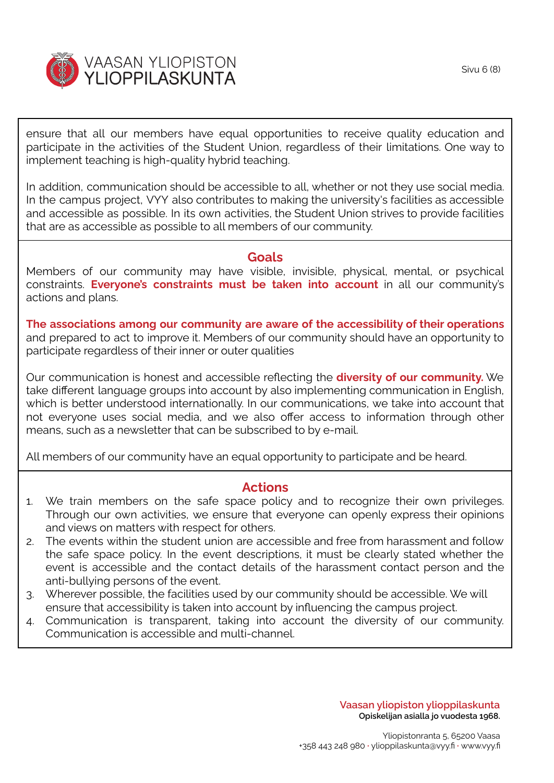

ensure that all our members have equal opportunities to receive quality education and participate in the activities of the Student Union, regardless of their limitations. One way to implement teaching is high-quality hybrid teaching.

In addition, communication should be accessible to all, whether or not they use social media. In the campus project, VYY also contributes to making the university's facilities as accessible and accessible as possible. In its own activities, the Student Union strives to provide facilities that are as accessible as possible to all members of our community.

#### **Goals**

<span id="page-5-0"></span>Members of our community may have visible, invisible, physical, mental, or psychical constraints. **Everyone's constraints must be taken into account** in all our community's actions and plans.

**The associations among our community are aware of the accessibility of their operations** and prepared to act to improve it. Members of our community should have an opportunity to participate regardless of their inner or outer qualities

Our communication is honest and accessible reflecting the **diversity of our community.** We take different language groups into account by also implementing communication in English, which is better understood internationally. In our communications, we take into account that not everyone uses social media, and we also offer access to information through other means, such as a newsletter that can be subscribed to by e-mail.

All members of our community have an equal opportunity to participate and be heard.

#### **Actions**

- <span id="page-5-1"></span>1. We train members on the safe space policy and to recognize their own privileges. Through our own activities, we ensure that everyone can openly express their opinions and views on matters with respect for others.
- 2. The events within the student union are accessible and free from harassment and follow the safe space policy. In the event descriptions, it must be clearly stated whether the event is accessible and the contact details of the harassment contact person and the anti-bullying persons of the event.
- 3. Wherever possible, the facilities used by our community should be accessible. We will ensure that accessibility is taken into account by influencing the campus project.
- 4. Communication is transparent, taking into account the diversity of our community. Communication is accessible and multi-channel.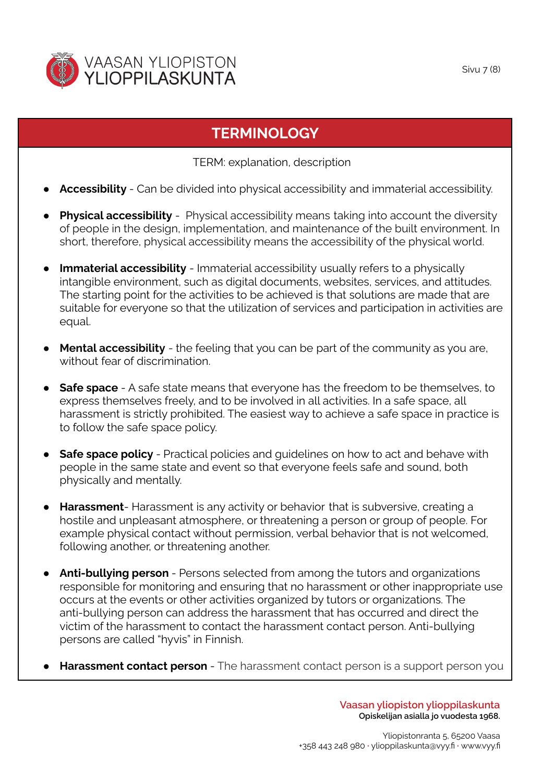

# **TERMINOLOGY**

TERM: explanation, description

- <span id="page-6-0"></span>**Accessibility** - Can be divided into physical accessibility and immaterial accessibility.
- **Physical accessibility** Physical accessibility means taking into account the diversity of people in the design, implementation, and maintenance of the built environment. In short, therefore, physical accessibility means the accessibility of the physical world.
- **Immaterial accessibility** Immaterial accessibility usually refers to a physically intangible environment, such as digital documents, websites, services, and attitudes. The starting point for the activities to be achieved is that solutions are made that are suitable for everyone so that the utilization of services and participation in activities are equal.
- **● Mental accessibility** the feeling that you can be part of the community as you are, without fear of discrimination.
- **Safe space** A safe state means that everyone has the freedom to be themselves, to express themselves freely, and to be involved in all activities. In a safe space, all harassment is strictly prohibited. The easiest way to achieve a safe space in practice is to follow the safe space policy.
- **Safe space policy** Practical policies and quidelines on how to act and behave with people in the same state and event so that everyone feels safe and sound, both physically and mentally.
- **Harassment** Harassment is any activity or behavior that is subversive, creating a hostile and unpleasant atmosphere, or threatening a person or group of people. For example physical contact without permission, verbal behavior that is not welcomed, following another, or threatening another.
- **● Anti-bullying person** Persons selected from among the tutors and organizations responsible for monitoring and ensuring that no harassment or other inappropriate use occurs at the events or other activities organized by tutors or organizations. The anti-bullying person can address the harassment that has occurred and direct the victim of the harassment to contact the harassment contact person. Anti-bullying persons are called "hyvis" in Finnish.
- **Harassment contact person** The harassment contact person is a support person you